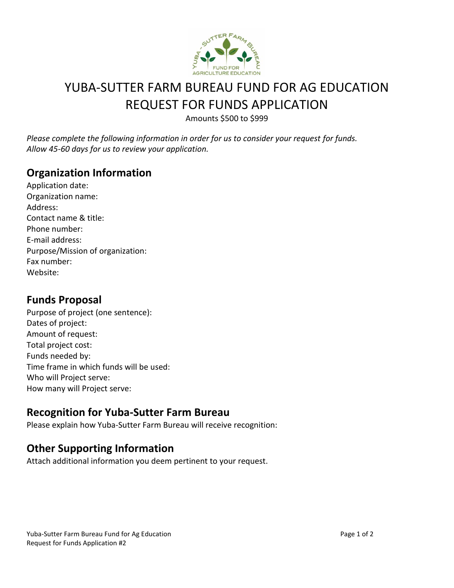

# YUBA-SUTTER FARM BUREAU FUND FOR AG EDUCATION REQUEST FOR FUNDS APPLICATION

Amounts \$500 to \$999

*Please complete the following information in order for us to consider your request for funds. Allow 45-60 days for us to review your application.* 

#### **Organization Information**

| Application date:                |
|----------------------------------|
| Organization name:               |
| Address:                         |
| Contact name & title:            |
| Phone number:                    |
| E-mail address:                  |
| Purpose/Mission of organization: |
| Fax number:                      |
| Website:                         |

#### **Funds Proposal**

Purpose of project (one sentence): Dates of project: Amount of request: Total project cost: Funds needed by: Time frame in which funds will be used: Who will Project serve: How many will Project serve:

#### **Recognition for Yuba-Sutter Farm Bureau**

Please explain how Yuba-Sutter Farm Bureau will receive recognition:

#### **Other Supporting Information**

Attach additional information you deem pertinent to your request.